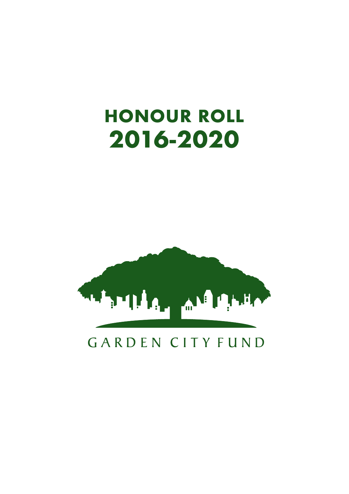# **HONOUR ROLL 2016-2020**



### GARDEN CITY FUND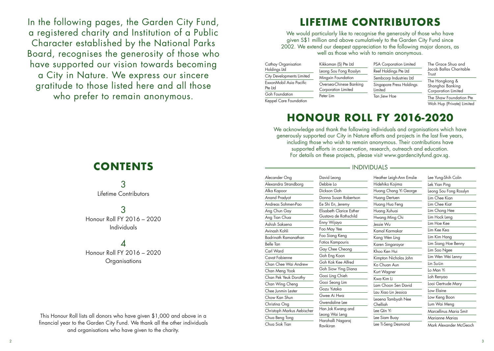In the following pages, the Garden City Fund, a registered charity and Institution of a Public Character established by the National Parks Board, recognises the generosity of those who have supported our vision towards becoming a City in Nature. We express our sincere gratitude to those listed here and all those who prefer to remain anonymous.

## **CONTENTS**

3 Lifetime Contributors

3 Honour Roll FY 2016 – 2020 Individuals

# $\boldsymbol{\Lambda}$

Honour Roll FY 2016 – 2020 **Organisations** 

This Honour Roll lists all donors who have given \$1,000 and above in a financial year to the Garden City Fund. We thank all the other individuals and organisations who have given to the charity.

# **LIFETIME CONTRIBUTORS**

We would particularly like to recognise the generosity of those who have given S\$1 million and above cumulatively to the Garden City Fund since 2002. We extend our deepest appreciation to the following major donors, as well as those who wish to remain anonymous.

| Cathay Organisation                | Kikkoman (S                             |  |
|------------------------------------|-----------------------------------------|--|
| Holdings Ltd                       | Leong Sou F                             |  |
| City Developments Limited          | Mingxin Fou                             |  |
| ExxonMobil Asia Pacific<br>Pte Ltd | Oversea-Chi<br>Corporation<br>Peter Lim |  |
| Goh Foundation                     |                                         |  |
| Keppel Care Foundation             |                                         |  |

Alecander C Alexandra St Alka Kapoor Anand Prady Andreas Soh Ang Chun G Ang Tian Ch Ashish Sakse Avinash Koh Badrinath Ra Belle Tan Carl Ward Cavat Fabien Chan Chee Y Chan Mena Chan Pek Ye Chan Wina Chee Iunmin Chow Kan S Christina On Christoph Me Chua Beng T Chua Siok Ti

| ) Pte Ltd               | <b>PSA Corporation Limited</b>      |  |
|-------------------------|-------------------------------------|--|
| ong Rosslyn             | Reef Holdings Pte Ltd               |  |
| ndation                 | Sembcorp Industries Ltd             |  |
| nese Banking<br>Limited | Singapore Press Holdings<br>Limited |  |
|                         | Tan Jiew Hoe                        |  |

The Grace Shua and Jacob Ballas Charitable Trust The Hongkong & Shanghai Banking Corporation Limited

The Shaw Foundation Pte Woh Hup (Private) Limited

# **HONOUR ROLL FY 2016-2020**

We acknowledge and thank the following individuals and organisations which have generously supported our City in Nature efforts and projects in the last five years, including those who wish to remain anonymous. Their contributions have supported efforts in conservation, research, outreach and education. For details on these projects, please visit www.gardencityfund.gov.sg.

#### $=$  INDIVIDUALS  $=$

| 'ng             | David Leong                    | Heather Leigh-Ann Emslie       | Lee Yung-Shih Colin    |
|-----------------|--------------------------------|--------------------------------|------------------------|
| trandbora       | Debbie Lo                      | Hidehiko Kojima                | Lek Yian Ping          |
|                 | Dickson Goh                    | Huang Chang Yi George          | Leong Sou Fong Rosslyn |
| 'ot             | Donna Susan Robertson          | Huang Dertuen                  | Lim Chee Kian          |
| men-Pao         | Ee Shi En, Jeremy              | Huang Hua Feng                 | Lim Chee Kiat          |
| ay              | Elisabeth Clarice Esther       | Huang Xuhuai                   | Lim Chong Hee          |
| UQ              | Gustava de Rothschild          | Hwang Ming Chi                 | Lim Hock Leng          |
| na              | Enny Wijaya                    | lessie Wu                      | Lim Hoe Kee            |
| ï               | Foo May Yee                    | Kamal Karmakar                 | Lim Kee Kea            |
| manathan        | Foo Siang Keng                 | Kang Wen Ling                  | Lim Kim Hang           |
|                 | Fotios Kampouris               | Karen Singarayar               | Lim Siang Hoe Benny    |
|                 | Gay Chee Cheong                | Khoo Ken Hui                   | Lim Soo Ngee           |
| <b>ne</b>       | Goh Eng Koon                   | Kimpton Nicholas John          | Lim Wen Wei Lenny      |
| Nai Andrew      | Goh Kok Kee Alfred             | Ko Chuan Aun                   | Lin Su-Lin             |
| Yook            | Goh Siow Ying Diana            | Kurt Wagner                    | Lo Man Yi              |
| uk Dorothy      | Gooi Ling Chieh                | Kwa Kim Li                     | Loh Renyao             |
| Cheng           | Gooi Seong Lim                 | Lam Choon Sen David            | Looi Gertrude Mary     |
| Lester          | Gozu Yutaka                    | Lau Xiao Lin Jessica           | Low Elaine             |
| hun             | Gwee Ai Hwa                    |                                | Low Keng Boon          |
| g               | Gwendaline Lee                 | Leaena Tambyah Nee<br>Chelliah | Lum Wai Meng           |
| arkus Aebischer | Han Jok Kwang and              | Lee Qin Yi                     | Marcellinus Maria Smit |
| ong             | Leong Wai Leng                 | Lee Siam Buay                  | <b>Marianne Marias</b> |
| an              | Harohalli Nagaraj<br>Ravikiran | Lee Ti-Seng Desmond            | Mark Alexander McGeoch |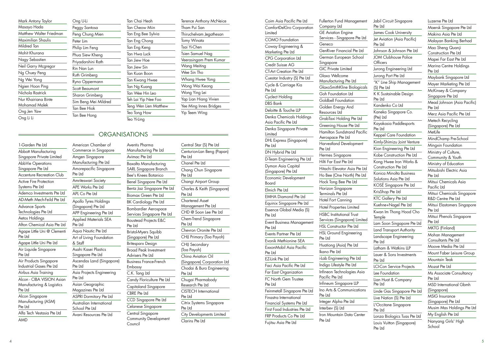Mark Antony Taylor Masayo Hada Matthew Walter Friedman Maximilian Shaulis Mildred Tan Mohit Khurana Nagy Sebastien Neil Garry Mcgregor Ng Chuey Peng Ng Wei Yong Naien Hoon Ping Nichola Rastrick Nur Khairiana Binte Mohamad Malek Ong Jen Yaw Ong Li Li

Ong U-Li Peggy Santosa Peng Chung Mien Peter Lim Philip Lim Feng Phua Siew Kheng Priyadarshini Rath Rin Nan Lun Ruth Grimberg Ryno Oppermann Scott Beaumont Sharon Grimberg Sim Beng Mei Mildred Tan Bee Hiok Tan Bee Hong Tan Chai Heah Tan Cheow Miin Tan Eng Bee Sylvia Tan Eng Chong Tan Eng Keng Tan Hwa Luck Tan Jiew Hoe Tan Jiew Sin Tan Kuan Boon Tan Kwang Hwee Tan Ng Kuang Tan Wee Hin Leo Teh Lai Yip Nee Foo Teng Wen Lien Matthew Teo Tong How Teo Yi-Ling

Terence Anthony McNeice Tham Pui San Thiruchelvam Jegathesan Tomy Winata Tsai Yi-Chen Tsien Samuel Nag Veerasingam Prem Kumar Wang Meiting Wee Sin Tho Whang Hwee Yong Wong Wai Keong Wong Ying Lei Yap Lian Hiang Vivien Yee Ming Innes Bridges Yip Teem Wing

#### ORGANISATIONS

Aventis Pharma

1-Garden Pte Ltd Abbott Manufacturing Singapore Private Limited AbbVie Operations Singapore Pte Ltd Accenture Recreation Club Active Fire Protection Systems Pte Ltd Ademco Investments Pte Ltd AD-Meth Mech-Feild Pte Ltd Advance Sports Technologies Pte Ltd Aetos Holdings Afton Chemical Asia Pte Ltd Agape Little Uni @ Clementi Pte Ltd Agape Little Uni Pte Ltd Air Liquide Singapore Pte Ltd Air Products Singapore Industrial Gases Pte Ltd Airbus Asia Training Alcon - CIBA VISION Asian Manufacturing & Logistics Pte Ltd Alcon Singapore Manufacturing (ASM) Pte Ltd Alfa Tech Vestasia Pte Ltd AMD American Chamber of Pte Ltd Pte Ltd & Staff Pte Ltd Pte Ltd

Commerce in Singapore Amgen Singapore Manufacturing Pte Ltd Amorepacific Singapore Amriteswari Society APE Works Pte Ltd  $APL$  Co Pte Ltd Apollo Tyres Holdings (Singapore) Pte Ltd APP Engineering Pte Ltd Applied Materials SEA Aqua Nautic Pte Ltd Art of Living Foundation Asahi Kasei Plastics Singapore Pte Ltd Ascendas Land (Singapore) Asia Projects Engineering Asian Geographic Magazines Pte Ltd ASPRI Dormitory Pte Ltd Australian International School Pte Ltd Avani Resources Pte Ltd Manufacturing Pte Ltd Avimac Pte Ltd Baxalta Manufacturing SARL Singapore Branch Bee's Knees Botanico Benel Singapore Pte Ltd Bentz Jaz Singapore Pte Ltd Biomax Green Pte Ltd BK Cardiology Pte Ltd Bombardier Aerospace Services Singapore Pte Ltd Boustead Projects E&C Pte Ltd Bristol-Myers Squibb (Singapore) Pte Ltd Britesparx Design Broad Peak Investment Advisers Pte Ltd Business France-French Embassy C.K. Tang Ltd Candy Floriculture Pte Ltd Capitaland Singapore CBRE Pte Ltd CCD Singapore Pte Ltd Celanese Singapore Central Singapore Community Development Council

Central Star (S) Pte Ltd Centurion-Lan Beng (Papan) Pte Ltd Chanel Pte Ltd Chang Chun Singapore Pte Ltd Changi Airport Group Charles & Keith (Singapore) Pte Ltd Chartered Asset Management Pte Ltd CHD @ Soon Lee Pte Ltd Chem-Trend Singapore Pte Ltd Chevron Oronite Pte Ltd CHIJ Primary (Toa Payoh) CHIJ Secondary (Toa Payoh) China Aviation Oil (Singapore) Corporation Ltd Chodai & Buro Engineering Pte Ltd Chugai Pharmabody Research Pte Ltd CISTECH International Pte Ltd Citrix Systems Singapore Pte Ltd City Developments Limited Clarins Pte Ltd

Coim Asia Pacific Pte Ltd ComfortDelGro Corporation Limited COMO Foundation Coway Engineering & Marketing Pte Ltd CPG Corporation Ltd Credit Suisse AG CT-Art Creation Pte Ltd Cuestar Industry (S) Pte Ltd Cycle & Carriage Kia Pte Ltd Cyclect Holding DBS Bank Deloitte & Touche LLP Denka Chemicals Holdings Asia Pacific Pte Ltd Denka Singapore Private Limited DHL Express (Singapore) Pte Ltd DN Hybrid Pte Ltd D-Team Engineering Pte Ltd Dymon Asia Capital (Singapore) Pte Ltd Economic Development Board Elmich Pte Ltd EMHA Diamond Pte Ltd Equinix Singapore Pte Ltd Essence Global Media (S) Pte Ltd Event Business Management Pte Ltd Events Partner Pte Ltd Evonik Methionine SEA ExxonMobil Asia Pacific Pte Ltd EZ-Link Pte Ltd Faci Asia Pacific Pte Ltd Far East Organization FC North Gem Trustee Pte Ltd Feinmetall Singapore Pte Ltd Finastra International Financial Systems Pte Ltd First Food Industries Pte Ltd FRP Products Co Pte Ltd Fujitsu Asia Pte Ltd Pte Ltd

Fullerton Fund Management Company Ltd GE Aviation Engine Services - Singapore Pte Ltd Geneco GenRiver Financial Pte Ltd German European School Singapore GIC Private Limited Glaxo Wellcome Manufacturing Pte Ltd GlaxoSmithKline Biologicals Goh Foundation Ltd Goldbell Foundation Golden Energy And Resources Ltd GrabTaxi Holding Pte Ltd Greening House Pte Ltd Hamilton Sundstrand Pacific Aerospace Pte Ltd Harvestland Development Pte Ltd Hermes Singapore Hilti Far East Pte Ltd Hitachi Elevator Asia Pte Ltd Ho Bee (One North) Pte Ltd Hock Tong Bee Pte Ltd Horizon Singapore Terminals Pte Ltd Hotel Fort Canning Hotel Properties Limited HSBC Institutional Trust Services (Singapore) Limited HSL Constructor Pte Ltd HSL Ground Engineering Pte Ltd Huationg (Asia) Pte Ltd Ikano Pte Ltd i-Lab Engineering Pte Ltd Indigo Lifestyle Pte Ltd Infineon Technologies Asia Pacific Pte Ltd Infineum Singapore LLP Ino Arts & Communications Pte Ltd Integer Alpha Pte Ltd Interbev (S) Ltd Iron Mountain Data Center

Jabil Circuit Singapore Pte Ltd James Cook University Jet Aviation (Asia Pacific) Pte Ltd Johnson & Johnson Pte Ltd JOM Clubhouse Police **Officers** Jurong Engineering Ltd Jurong Port Pte Ltd "K" Line Ship Management (S) Pte Ltd K K Sustainable Design Pte Ltd Kandenko Co Ltd Kaneka Singapore Co. (Pte) Ltd Kayakasia Paddlesports Pte Ltd Keppel Care Foundation Kimly-Shimizu Joint Venture Kion Engineering Pte Ltd Kobe Construction Pte Ltd Kong Hwee Iron Works & Construction Pte Ltd Konica Minolta Business Solutions Asia Pte Ltd KOSÉ Singapore Pte Ltd KrisShop Pte Ltd KTC Gallery Pte Ltd Kuehne+Nagel Pte Ltd Kwan Im Thong Hood Cho **Temple** Lam Soon Singapore Pte Ltd Land Transport Authority Landscape Engineering Pte Ltd Latham & Watkins LLP Lauer & Sons Investments Pte Ltd LCI-Con Service Projects Lee Foundation Lian Huat & Company Pte Ltd Linde Gas Singapore Pte Ltd Live Nation (S) Pte Ltd L'Occitane Singapore Pte Ltd Lonza Biologics Tuas Pte Ltd Louis Vuitton (Singapore) Pte Ltd

Luzerne Pte Ltd Maersk Singapore Pte Ltd Makino Asia Pte Ltd Malayan Banking Berhad Mao Sheng Quanji Construction Pte Ltd Mapei Far East Pte Ltd Marina Centre Holdings Pte Ltd Maybank Singapore Ltd Mayer Marketing Pte Ltd McKinsey & Company Singapore Pte Ltd Mead Johnson (Asia Pacific) Pte Ltd Merz Asia Pacific Pte Ltd Metech Recycling (Singapore) Pte Ltd **MetLife** MindChamp Pre-School Mingxin Foundation Ministry of Culture, Community & Youth Ministry of Education Mitsubishi Electric Asia Pte Ltd Mitsui Chemicals Asia Pacific Ltd Mitsui Chemicals Singapore R&D Centre Pte Ltd Mitsui Elastomers Singapore Pte Ltd Mitsui Phenols Singapore Pte Ltd MKTG (Finland) Mohan Management Consultants Pte Ltd Moove Media Pte Ltd Mount Faber Leisure Group Mountain Teak Mozat Pte Ltd Ms Associate Consultancy Pte Ltd MSD International Gbmh (Singapore) MSIG Insurance (Singapore) Pte Ltd Musim Mas Holdings Pte Ltd My English Pte Ltd Nanyang Girls' High School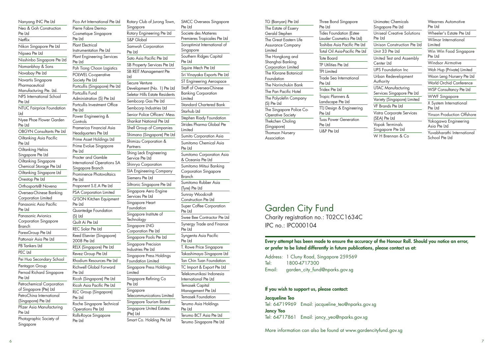Nanyang INC Pte Ltd Neo & Goh Construction Pte Ltd **Netflix** Nikon Singapore Pte Ltd Nipsea Pte Ltd Nisshinbo Singapore Pte Ltd Nomanbhoy & Sons Novabay Pte Ltd Novartis Singapore **Pharmaceutical** Manufacturing Pte. Ltd. NPS International School Pte Ltd NTUC Fairprice Foundation Ltd Nyee Phoe Flower Garden Pte Ltd OBGYN Consultants Pte Ltd Oiltanking Asia Pacific Pte Ltd Oiltanking Helios Singapore Pte Ltd Oiltanking Singapore Chemical Storage Pte Ltd Oiltanking Singapore Ltd Onestop Pte Ltd Orthosports@ Novena Oversea-Chinese Banking Corporation Limited Panasonic Asia Pacific Pte Ltd Panasonic Avionics Corporation Singapore Branch ParexGroup Pte Ltd Pattonair Asia Pte Ltd PB Tankers Ltd PEC Ltd Pei Hua Secondary School Pentagon Group Pernod Richard Singapore Pte Ltd Petrochemical Corporation of Singapore (Pte) Ltd PetroChina International (Singapore) Pte Ltd Pfizer Asia Manufacturing Pte Ltd Photographic Society of

Pte Ltd

Pte Ltd

Pte Ltd

**Controls** 

Pte Ltd

Pte Ltd

Pte Ltd

(S) Ltd

Pte Ltd

Pte Ltd

Pte Ltd

Pico Art International Pte Ltd Pierre Fabre Dermo-Cosmetique Singapore Plant Electrical Instrumentation Pte Ltd Plant Engineering Services Poh Tiong Choon Logistics POLWEL Co-operative Society Pte Ltd Portcullis (Singapore) Pte Ltd Portcullis Fund Administration (S) Pte Ltd Portcullis Investment Office Power Engineering & Pramerica Financial Asia Headquarters Pte Ltd Prime Asset Holdings Ltd Prime Evolue Singapore Procter and Gamble International Operations SA Singapore Branch Prominence Photovoltaics Proponent S.E.A Pte Ltd PSA Corporation Limited Q'SON Kitchen Equipment Quantedge Foundation Quilt Ai Pte Ltd REC Solar Pte Ltd Reed Elsevier (Singapore) 2008 Pte Ltd RELX (Singapore) Pte Ltd Revez Group Pte Ltd Rhodium Resources Pte Ltd Richwell Global Forward Ricoh (Singapore) Pte Ltd Ricoh Asia Pacific Pte Ltd RLC Group (Singapore) Roche Singapore Technical Operations Pte Ltd Rolls-Royce Singapore Rotary Club of Jurong Town, Singapore Rotary Engineering Pte Ltd S&P Global Samwoh Corporation Pte Ltd Sato Asia Pacific Pte Ltd SB Property Services Pte Ltd SB REIT Management Pte Ltd Secure Venture Development (No. 1) Pte Ltd Seletar Hills Estate Residents Sembcorp Gas Pte Ltd Sembcorp Industries Ltd Senior Police Officers' Mess Sharikat National Pte Ltd Shell Group of Companies Shimano (Singapore) Pte Ltd Shimizu Corporation & Partners Shing Leck Engineering Service Pte Ltd Shinryo Corporation SIA Engineering Company Siemens Pte Ltd Siltronic Singapore Pte Ltd Singapore Aero Engine Services Pte Ltd Singapore Heart Foundation Singapore Institute of **Technology** Singapore LNG Corporation Pte Ltd Singapore Pools Pte Ltd Singapore Precision Industries Pte Ltd Singapore Press Holdings Foundation Limited Singapore Press Holdings **Limited** Singapore Refining Co Pte Ltd Singapore Telecommunications Limited Singapore Tourism Board Singapore United Estates (Pte) Ltd Smart Co. Holding Pte Ltd

SMCC Overseas Singapore Pte Ltd Societe des Matieres Premieres Tropicales Pte Ltd Soroptimist International of Singapore Southern Ridges Capital Pte Ltd Squire Mech Pte Ltd Sri Vinayaka Exports Pte Ltd ST Engineering Aerospace Staff of Oversea-Chinese Banking Corporation **Limited** Standard Chartered Bank Starhub Ltd Stephen Riady Foundation Strides Pharma Global Pte Limited Sumito Corporation Asia Sumitomo Chemical Asia Pte Ltd Sumitomo Corporation Asia & Oceania Pte Ltd Sumitomo Mitsui Banking Corporation Singapore Branch Sumitomo Rubber Asia (Tyre) Pte Ltd Sunray Woodcraft Construction Pte Ltd Super Coffee Corporation Pte Ltd Swee Bee Contractor Pte Ltd Synergy Trade and Finance Pte Ltd Syngenta Asia Pacific Pte Ltd T. Rowe Price Singapore Takashimaya Singapore Ltd Tan Chin Tuan Foundation TC Import & Export Pte Ltd Telekomunikasi Indonesia International Pte Ltd Temasek Capital Management Pte Ltd Temasek Foundation Terumo Asia Holdings Pte Ltd Terumo BCT Asia Pte Ltd Terumo Singapore Pte Ltd

TG (Banyan) Pte Ltd The Estate of Essery Gerald Stephen The Great Eastern Life Assurance Company Limited The Hongkong and Shanghai Banking Corporation Limited The Klorane Botanical Foundation The Norinchukin Bank The Pan Pacific Hotel The Polyolefin Company (S) Pte Ltd The Singapore Police Co-Operative Society Thekchen Choling (Singapore) Thomson Nursery Association

Three Bond Singapore Pte Ltd Tides Foundation (Estee Lauder Cosmetics Pte Ltd) Toshiba Asia Pacific Pte Ltd Total Oil Asia-Pacific Pte Ltd Tote Board TP Utilities Pte Ltd TPI Limited Trade Sea International Pte Ltd Tridex Pte Ltd Tropic Planners & Landscape Pte Ltd TTJ Design & Engineering Pte Ltd Tuas Power Generation Pte Ltd U&P Pte Ltd

Unimatec Chemicals Singapore Pte Ltd Uniseal Creative Solutions Pte Ltd Unison Construction Pte Ltd Unit 33 Pte Ltd United Test and Assembly Center Ltd UPS Foundation Inc Urban Redevelopment Authority UTAC Manufacturing Services Singapore Pte Ltd Variety (Singapore) Limited VF Brands Pte Ltd Vistra Corporate Services (SEA) Pte Ltd Vopak Terminals Singapore Pte Ltd W H Brennan & Co.

Wearnes Automotive Pte Ltd Wheeler's Estate Pte Ltd Wilmar International Limited Win Win Food Singapore Pte Ltd Windsor Airmotive Woh Hup (Private) Limited Woon Leng Nursery Pte Ltd World Orchid Conference WSP Consultancy Pte Ltd WWF Singapore X System International Pte Ltd Yinson Production Offshore Yokogawa Engineering Asia Pte Ltd Yuvabharathi International School Pte Ltd

### Garden City Fund

Charity registration no.: T02CC1634C IPC no.: IPC000104

Every attempt has been made to ensure the accuracy of the Honour Roll. Should you notice an error, or prefer to be listed differently in future publications, please contact us at:

Address: 1 Cluny Road, Singapore 259569 Tel: 1800-4717300 Email: garden city fund@nparks.gov.sg

#### If you wish to support us, please contact:

#### Jacqueline Teo

Tel: 64719969 Email: jacqueline teo@nparks.gov.sg Jancy Yeo Tel: 64717861 Email: jancy\_yeo@nparks.gov.sg

More information can also be found at www.gardencityfund.gov.sg

Singapore